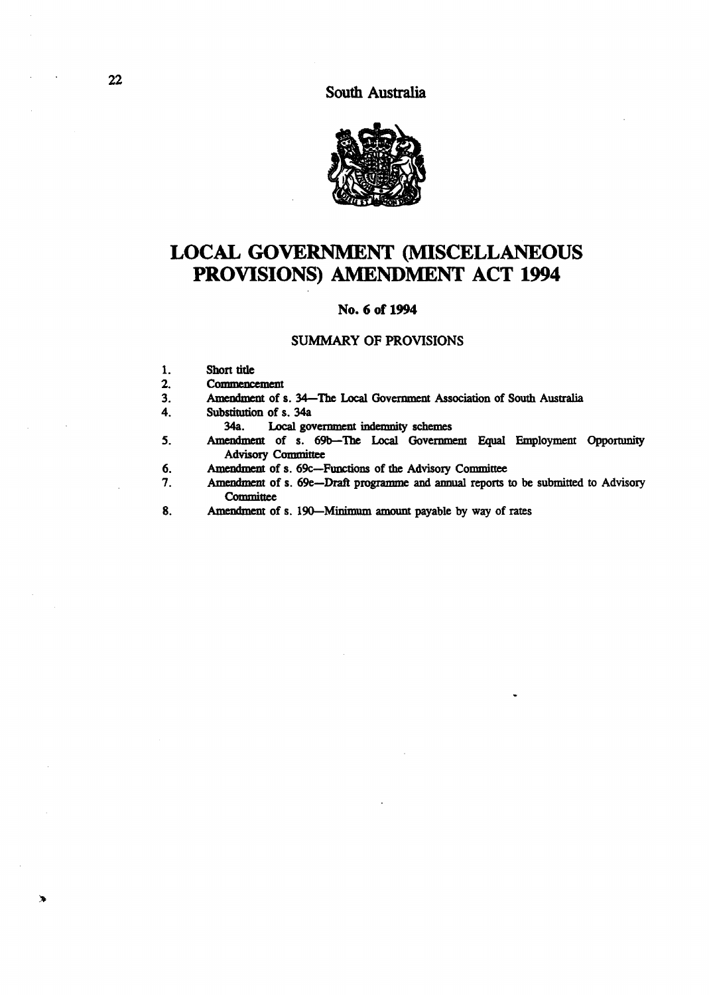South Australia



# **LOCAL** GOVERNMENT (MISCELLANEOUS **PROVISIONS)** AMENDMENT ACT **1994**

## No. 6 of 1994

#### SUMMARY OF PROVISIONS

- 1. Short title<br>2. Commence
- 2. Commencement<br>3. Amendment of s
- 3. Amendment of s. 34—The Local Government Association of South Australia<br>4. Substitution of s. 34a
	- Substitution of s. 34a<br>34a. Local government
		- Local government indemnity schemes
- 5. Amendment of s. 69b-The Local Government Equal Employment Opportunity Advisory Committee
- 6. Amendment of s. 69c-Functions of the Advisory Committee
- 7. Amendment of s. 6ge-Draft programme and annual reports to be submitted to Advisory **Committee**
- 8. Amendment of s. 190-Minimum amount payable by way of rates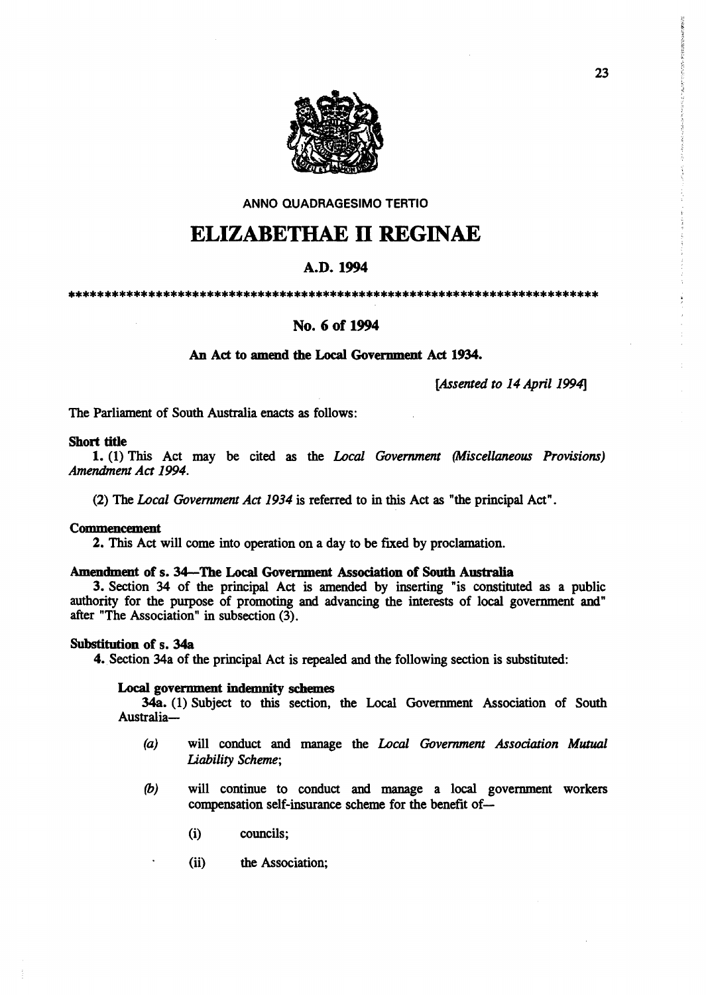

ANNO QUADRAGESIMO TERTIO

# ELIZABETHAE 11 REGINAE

## A.D. 1994

\*\*\*\*\*\*\*\*\*\*\*\*\*\*\*\*\*\*\*\*\*\*\*\*\*\*\*\*\*\*\*\*\*\*\*\*\*\*\*\*\*\*\*\*\*\*\*\*\*\*\*\*\*\*\*\*\*\*\*\*\*\*\*\*\*\*\*\*\*\*\*\*\*

## No. 6 of 1994

## An Act to amend the Local Government Act 1934.

*[Assented to* 14 *April* 1994]

The Parliament of South Australia enacts as follows:

## Short tide

1. (1) This Act may be cited as the *Local Government (Miscellaneous Provisions) Amendment Act 1994.* 

(2) The *Local Government Act* 1934 is referred to in this Act as "the principal Act".

#### Commencement

2. This Act will come into operation on a day to be fIxed by proclamation.

#### Amendment of s. 34-The Local Government Association of South Australia

3. Section 34 of the principal Act is amended by inserting "is constituted as a public authority for the purpose of promoting and advancing the interests of local government and" after "The Association" in subsection (3).

## Substitution of s. 34a

4. Section 34a of the principal Act is repealed and the following section is substituted:

#### Local government indemnity schemes

34a. (1) Subject to this section, the Local Government Association of South Australia-

- *(a)* will conduct and manage the *Local Government Association Mutual Liability Scheme;*
- (b) will continue to conduct and manage a local government workers compensation self-insurance scheme for the benefit of-
	- (i) councils;
	- (ii) the Association;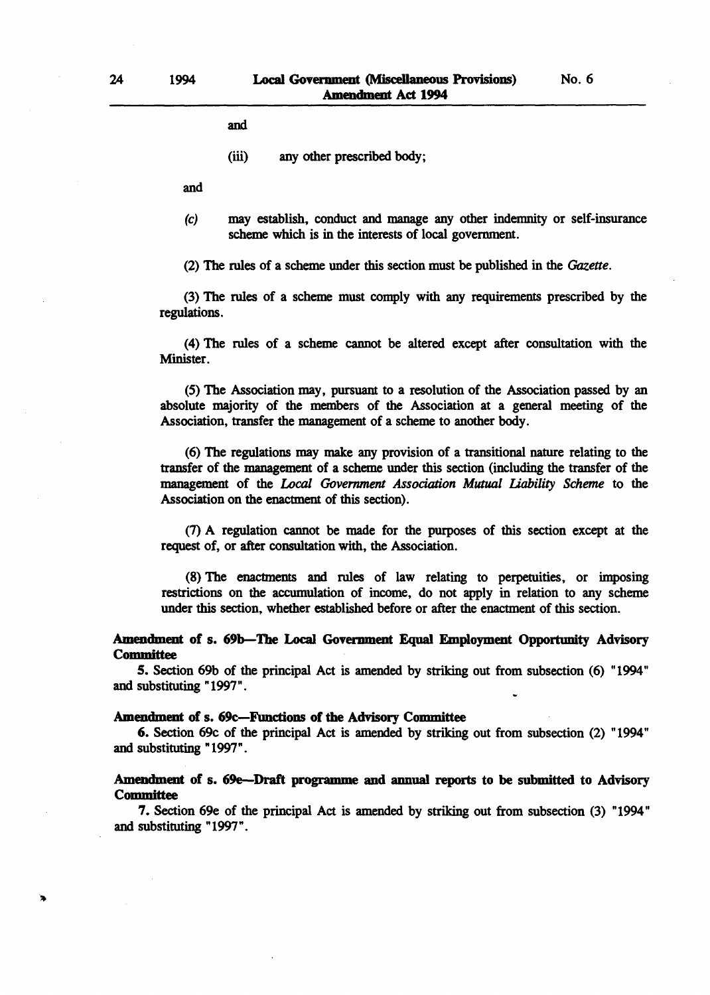No. 6

and

(iii) any other prescribed body;

and

(c) may establish, conduct and manage any other indemnity or self-insurance scheme which is in the interests of local government.

(2) The rules of a scheme under this section must be published in the *Gazette.* 

(3) The rules of a scheme must comply with any requirements prescribed by the regulations.

(4) The rules of a scheme cannot be altered except after consultation with the Minister.

(5) The Association may, pursuant to a resolution of the Association passed by an absolute majority of the members of the Association at a general meeting of the Association, transfer the management of a scheme to another body.

(6) The regulations may make any provision of a transitional nature relating to the transfer of the management of a scheme under this section (including the transfer of the management of the *Local Government Association Mutual liability Scheme* to the Association on the enactment of this section).

(7) A regulation cannot be made for the purposes of this section except at the request of, or after consultation with, the Association.

(8) The enactments and rules of law relating to perpetuities, or imposing restrictions on the accumulation of income, do not apply in relation to any scheme under this section, whether established before or after the enactment of this section.

## Amendment of s. 69b-The Local Government Equal Employment Opportunity Advisory **Committee**

5. Section 69b of the principal Act is amended by striking out from subsection (6) "1994" and substituting" 1997" .

#### Amendment of s. 69c-Functions of the Advisory Committee

6. Section 69c of the principal Act is amended by striking out from subsection (2) "1994" and substituting "1997" .

## Amendment of s. 6ge-Draft programme and annual reports to be submitted to Advisory **Committee**

7. Section 6ge of the principal Act is amended by striking out from subsection (3) "1994" and substituting "1997".